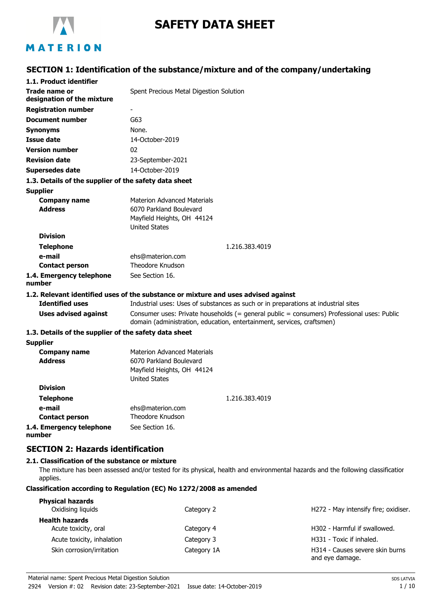

# **SAFETY DATA SHEET**

# MATERION

## **SECTION 1: Identification of the substance/mixture and of the company/undertaking**

| 1.1. Product identifier                               |                                                                                                                                                                      |  |  |
|-------------------------------------------------------|----------------------------------------------------------------------------------------------------------------------------------------------------------------------|--|--|
| Trade name or                                         | Spent Precious Metal Digestion Solution                                                                                                                              |  |  |
| designation of the mixture                            |                                                                                                                                                                      |  |  |
| <b>Registration number</b>                            |                                                                                                                                                                      |  |  |
| <b>Document number</b>                                | G63                                                                                                                                                                  |  |  |
| <b>Synonyms</b>                                       | None.                                                                                                                                                                |  |  |
| <b>Issue date</b>                                     | 14-October-2019                                                                                                                                                      |  |  |
| <b>Version number</b>                                 | 02                                                                                                                                                                   |  |  |
| <b>Revision date</b>                                  | 23-September-2021                                                                                                                                                    |  |  |
| Supersedes date                                       | 14-October-2019                                                                                                                                                      |  |  |
| 1.3. Details of the supplier of the safety data sheet |                                                                                                                                                                      |  |  |
| <b>Supplier</b>                                       |                                                                                                                                                                      |  |  |
| <b>Company name</b>                                   | Materion Advanced Materials                                                                                                                                          |  |  |
| <b>Address</b>                                        | 6070 Parkland Boulevard                                                                                                                                              |  |  |
|                                                       | Mayfield Heights, OH 44124                                                                                                                                           |  |  |
|                                                       | <b>United States</b>                                                                                                                                                 |  |  |
| <b>Division</b>                                       |                                                                                                                                                                      |  |  |
| <b>Telephone</b>                                      | 1.216.383.4019                                                                                                                                                       |  |  |
| e-mail                                                | ehs@materion.com                                                                                                                                                     |  |  |
| <b>Contact person</b>                                 | <b>Theodore Knudson</b>                                                                                                                                              |  |  |
| 1.4. Emergency telephone<br>number                    | See Section 16.                                                                                                                                                      |  |  |
|                                                       | 1.2. Relevant identified uses of the substance or mixture and uses advised against                                                                                   |  |  |
| <b>Identified uses</b>                                | Industrial uses: Uses of substances as such or in preparations at industrial sites                                                                                   |  |  |
| <b>Uses advised against</b>                           | Consumer uses: Private households (= general public = consumers) Professional uses: Public<br>domain (administration, education, entertainment, services, craftsmen) |  |  |
| 1.3. Details of the supplier of the safety data sheet |                                                                                                                                                                      |  |  |
| <b>Supplier</b>                                       |                                                                                                                                                                      |  |  |
| <b>Company name</b>                                   | <b>Materion Advanced Materials</b>                                                                                                                                   |  |  |
| <b>Address</b>                                        | 6070 Parkland Boulevard                                                                                                                                              |  |  |
|                                                       | Mayfield Heights, OH 44124                                                                                                                                           |  |  |
|                                                       | <b>United States</b>                                                                                                                                                 |  |  |
| <b>Division</b>                                       |                                                                                                                                                                      |  |  |
| <b>Telephone</b>                                      | 1.216.383.4019                                                                                                                                                       |  |  |
| e-mail                                                | ehs@materion.com                                                                                                                                                     |  |  |
| <b>Contact person</b>                                 | Theodore Knudson                                                                                                                                                     |  |  |
| 1.4. Emergency telephone<br>number                    | See Section 16.                                                                                                                                                      |  |  |

## **SECTION 2: Hazards identification**

### **2.1. Classification of the substance or mixture**

The mixture has been assessed and/or tested for its physical, health and environmental hazards and the following classification applies.

### **Classification according to Regulation (EC) No 1272/2008 as amended**

| <b>Physical hazards</b><br>Oxidising liquids  | Category 2  | H272 - May intensify fire; oxidiser.               |
|-----------------------------------------------|-------------|----------------------------------------------------|
| <b>Health hazards</b><br>Acute toxicity, oral | Category 4  | H302 - Harmful if swallowed.                       |
| Acute toxicity, inhalation                    | Category 3  | H331 - Toxic if inhaled.                           |
| Skin corrosion/irritation                     | Category 1A | H314 - Causes severe skin burns<br>and eye damage. |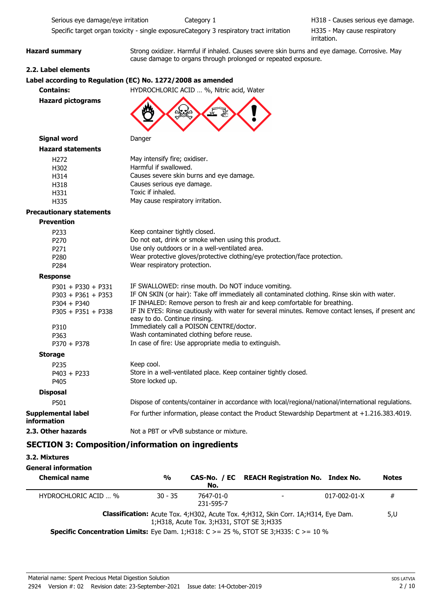Serious eye damage/eye irritation Category 1 Causes serious eye damage.

Specific target organ toxicity - single exposureCategory 3 respiratory tract irritation

H335 - May cause respiratory irritation.

**Hazard summary** Strong oxidizer. Harmful if inhaled. Causes severe skin burns and eye damage. Corrosive. May cause damage to organs through prolonged or repeated exposure.

### **2.2. Label elements**

### **Label according to Regulation (EC) No. 1272/2008 as amended**

**Contains:** HYDROCHLORIC ACID … %, Nitric acid, Water

```
Hazard pictograms
```


| <b>Hazard statements</b>        |                                                                            |
|---------------------------------|----------------------------------------------------------------------------|
| H <sub>272</sub>                | May intensify fire; oxidiser.                                              |
| H302                            | Harmful if swallowed.                                                      |
| H314                            | Causes severe skin burns and eye damage.                                   |
| H318                            | Causes serious eye damage.                                                 |
| H331                            | Toxic if inhaled.                                                          |
| H335                            | May cause respiratory irritation.                                          |
| <b>Precautionary statements</b> |                                                                            |
| <b>Prevention</b>               |                                                                            |
| P <sub>2</sub> 33               | Keep container tightly closed.                                             |
| P <sub>270</sub>                | Do not eat, drink or smoke when using this product.                        |
| P <sub>271</sub>                | Use only outdoors or in a well-ventilated area.                            |
| P <sub>280</sub>                | Wear protective gloves/protective clothing/eye protection/face protection. |
| P <sub>2</sub> 84               | Wear respiratory protection.                                               |
| <b>Response</b>                 |                                                                            |
|                                 |                                                                            |

| $P301 + P330 + P331$                     | IF SWALLOWED: rinse mouth. Do NOT induce vomiting.                                                                                  |
|------------------------------------------|-------------------------------------------------------------------------------------------------------------------------------------|
| $P303 + P361 + P353$                     | IF ON SKIN (or hair): Take off immediately all contaminated clothing. Rinse skin with water.                                        |
| $P304 + P340$                            | IF INHALED: Remove person to fresh air and keep comfortable for breathing.                                                          |
| $P305 + P351 + P338$                     | IF IN EYES: Rinse cautiously with water for several minutes. Remove contact lenses, if present and<br>easy to do. Continue rinsing. |
| P310                                     | Immediately call a POISON CENTRE/doctor.                                                                                            |
| P363                                     | Wash contaminated clothing before reuse.                                                                                            |
| $P370 + P378$                            | In case of fire: Use appropriate media to extinguish.                                                                               |
| <b>Storage</b>                           |                                                                                                                                     |
| P <sub>235</sub>                         | Keep cool.                                                                                                                          |
| $P403 + P233$                            | Store in a well-ventilated place. Keep container tightly closed.                                                                    |
| P405                                     | Store locked up.                                                                                                                    |
| <b>Disposal</b>                          |                                                                                                                                     |
| P501                                     | Dispose of contents/container in accordance with local/regional/national/international regulations.                                 |
| <b>Supplemental label</b><br>information | For further information, please contact the Product Stewardship Department at +1.216.383.4019.                                      |
| 2.3. Other hazards                       | Not a PBT or vPvB substance or mixture.                                                                                             |

### **SECTION 3: Composition/information on ingredients**

**3.2. Mixtures**

| General information                                                                                 |               |                                              |                                                                                              |                      |              |
|-----------------------------------------------------------------------------------------------------|---------------|----------------------------------------------|----------------------------------------------------------------------------------------------|----------------------|--------------|
| <b>Chemical name</b>                                                                                | $\frac{0}{0}$ | No.                                          | CAS-No. / EC REACH Registration No. Index No.                                                |                      | <b>Notes</b> |
| HYDROCHLORIC ACID  %                                                                                | $30 - 35$     | 7647-01-0<br>231-595-7                       | $\overline{\phantom{a}}$                                                                     | $017 - 002 - 01 - X$ | #            |
| <b>Specific Concentration Limits:</b> Eye Dam. 1; H318: C $> = 25$ %, STOT SE 3; H335: C $> = 10$ % |               | 1; H318, Acute Tox. 3; H331, STOT SE 3; H335 | <b>Classification:</b> Acute Tox. 4; H302, Acute Tox. 4; H312, Skin Corr. 1A; H314, Eye Dam. |                      | 5,U          |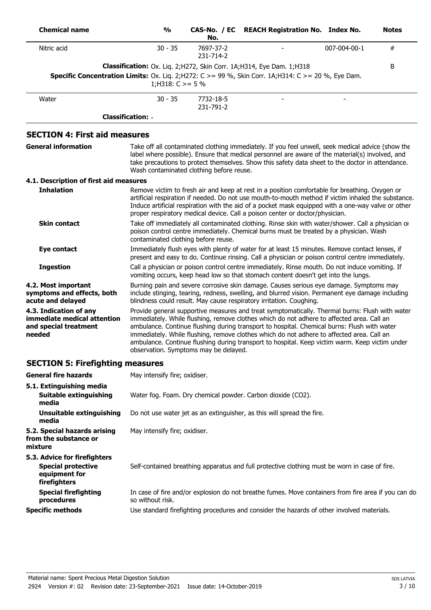| <b>Chemical name</b>                                                                                              | $\frac{0}{0}$                            | No.                    | CAS-No. / EC REACH Registration No. Index No.                                                                                                                                                                                                                                                                                                                                                                                                                                             |              | <b>Notes</b> |
|-------------------------------------------------------------------------------------------------------------------|------------------------------------------|------------------------|-------------------------------------------------------------------------------------------------------------------------------------------------------------------------------------------------------------------------------------------------------------------------------------------------------------------------------------------------------------------------------------------------------------------------------------------------------------------------------------------|--------------|--------------|
| Nitric acid                                                                                                       | $30 - 35$                                | 7697-37-2<br>231-714-2 |                                                                                                                                                                                                                                                                                                                                                                                                                                                                                           | 007-004-00-1 | $\#$         |
| <b>Specific Concentration Limits:</b> Ox. Liq. 2; H272: $C > = 99$ %, Skin Corr. 1A; H314: $C > = 20$ %, Eye Dam. | 1;H318: $C \ge 5\%$                      |                        | Classification: Ox. Liq. 2; H272, Skin Corr. 1A; H314, Eye Dam. 1; H318                                                                                                                                                                                                                                                                                                                                                                                                                   |              | B            |
| Water                                                                                                             | $30 - 35$                                | 7732-18-5<br>231-791-2 |                                                                                                                                                                                                                                                                                                                                                                                                                                                                                           |              |              |
|                                                                                                                   | <b>Classification: -</b>                 |                        |                                                                                                                                                                                                                                                                                                                                                                                                                                                                                           |              |              |
| <b>SECTION 4: First aid measures</b>                                                                              |                                          |                        |                                                                                                                                                                                                                                                                                                                                                                                                                                                                                           |              |              |
| <b>General information</b>                                                                                        | Wash contaminated clothing before reuse. |                        | Take off all contaminated clothing immediately. If you feel unwell, seek medical advice (show the<br>label where possible). Ensure that medical personnel are aware of the material(s) involved, and<br>take precautions to protect themselves. Show this safety data sheet to the doctor in attendance.                                                                                                                                                                                  |              |              |
| 4.1. Description of first aid measures                                                                            |                                          |                        |                                                                                                                                                                                                                                                                                                                                                                                                                                                                                           |              |              |
| <b>Inhalation</b>                                                                                                 |                                          |                        | Remove victim to fresh air and keep at rest in a position comfortable for breathing. Oxygen or<br>artificial respiration if needed. Do not use mouth-to-mouth method if victim inhaled the substance.<br>Induce artificial respiration with the aid of a pocket mask equipped with a one-way valve or other<br>proper respiratory medical device. Call a poison center or doctor/physician.                                                                                               |              |              |
| <b>Skin contact</b>                                                                                               | contaminated clothing before reuse.      |                        | Take off immediately all contaminated clothing. Rinse skin with water/shower. Call a physician or<br>poison control centre immediately. Chemical burns must be treated by a physician. Wash                                                                                                                                                                                                                                                                                               |              |              |
| <b>Eye contact</b>                                                                                                |                                          |                        | Immediately flush eyes with plenty of water for at least 15 minutes. Remove contact lenses, if<br>present and easy to do. Continue rinsing. Call a physician or poison control centre immediately.                                                                                                                                                                                                                                                                                        |              |              |
| <b>Ingestion</b>                                                                                                  |                                          |                        | Call a physician or poison control centre immediately. Rinse mouth. Do not induce vomiting. If<br>vomiting occurs, keep head low so that stomach content doesn't get into the lungs.                                                                                                                                                                                                                                                                                                      |              |              |
| 4.2. Most important<br>symptoms and effects, both<br>acute and delayed                                            |                                          |                        | Burning pain and severe corrosive skin damage. Causes serious eye damage. Symptoms may<br>include stinging, tearing, redness, swelling, and blurred vision. Permanent eye damage including<br>blindness could result. May cause respiratory irritation. Coughing.                                                                                                                                                                                                                         |              |              |
| 4.3. Indication of any<br>immediate medical attention<br>and special treatment<br>needed                          | observation. Symptoms may be delayed.    |                        | Provide general supportive measures and treat symptomatically. Thermal burns: Flush with water<br>immediately. While flushing, remove clothes which do not adhere to affected area. Call an<br>ambulance. Continue flushing during transport to hospital. Chemical burns: Flush with water<br>immediately. While flushing, remove clothes which do not adhere to affected area. Call an<br>ambulance. Continue flushing during transport to hospital. Keep victim warm. Keep victim under |              |              |
| <b>SECTION 5: Firefighting measures</b>                                                                           |                                          |                        |                                                                                                                                                                                                                                                                                                                                                                                                                                                                                           |              |              |
| <b>General fire hazards</b>                                                                                       | May intensify fire; oxidiser.            |                        |                                                                                                                                                                                                                                                                                                                                                                                                                                                                                           |              |              |
| 5.1. Extinguishing media<br><b>Suitable extinguishing</b><br>media                                                |                                          |                        | Water fog. Foam. Dry chemical powder. Carbon dioxide (CO2).                                                                                                                                                                                                                                                                                                                                                                                                                               |              |              |
| <b>Unsuitable extinguishing</b><br>media                                                                          |                                          |                        | Do not use water jet as an extinguisher, as this will spread the fire.                                                                                                                                                                                                                                                                                                                                                                                                                    |              |              |
| 5.2. Special hazards arising<br>from the substance or<br>mixture                                                  | May intensify fire; oxidiser.            |                        |                                                                                                                                                                                                                                                                                                                                                                                                                                                                                           |              |              |
| 5.3. Advice for firefighters<br><b>Special protective</b><br>equipment for<br>firefighters                        |                                          |                        | Self-contained breathing apparatus and full protective clothing must be worn in case of fire.                                                                                                                                                                                                                                                                                                                                                                                             |              |              |
| <b>Special firefighting</b>                                                                                       |                                          |                        | In case of fire and/or explosion do not breathe fumes. Move containers from fire area if you can do                                                                                                                                                                                                                                                                                                                                                                                       |              |              |

so without risk.

**Specific methods** Use standard firefighting procedures and consider the hazards of other involved materials.

**procedures**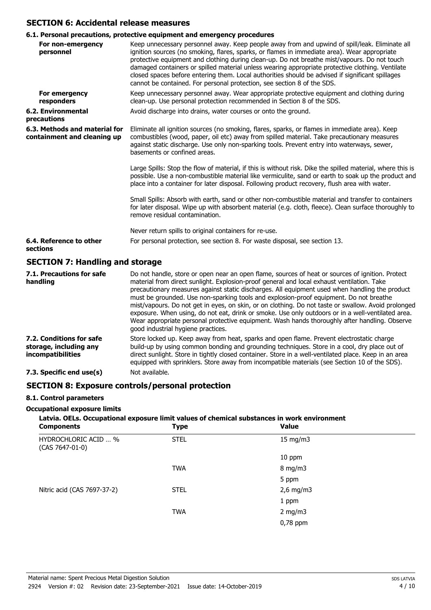### **SECTION 6: Accidental release measures**

### **6.1. Personal precautions, protective equipment and emergency procedures**

|                                                              | vi1: I cloving precuditoris; proceedive equipment und emergency proceudics                                                                                                                                                                                                                                                                                                                                                                                                                                                                                                        |
|--------------------------------------------------------------|-----------------------------------------------------------------------------------------------------------------------------------------------------------------------------------------------------------------------------------------------------------------------------------------------------------------------------------------------------------------------------------------------------------------------------------------------------------------------------------------------------------------------------------------------------------------------------------|
| For non-emergency<br>personnel                               | Keep unnecessary personnel away. Keep people away from and upwind of spill/leak. Eliminate all<br>ignition sources (no smoking, flares, sparks, or flames in immediate area). Wear appropriate<br>protective equipment and clothing during clean-up. Do not breathe mist/vapours. Do not touch<br>damaged containers or spilled material unless wearing appropriate protective clothing. Ventilate<br>closed spaces before entering them. Local authorities should be advised if significant spillages<br>cannot be contained. For personal protection, see section 8 of the SDS. |
| For emergency<br>responders                                  | Keep unnecessary personnel away. Wear appropriate protective equipment and clothing during<br>clean-up. Use personal protection recommended in Section 8 of the SDS.                                                                                                                                                                                                                                                                                                                                                                                                              |
| 6.2. Environmental<br>precautions                            | Avoid discharge into drains, water courses or onto the ground.                                                                                                                                                                                                                                                                                                                                                                                                                                                                                                                    |
| 6.3. Methods and material for<br>containment and cleaning up | Eliminate all ignition sources (no smoking, flares, sparks, or flames in immediate area). Keep<br>combustibles (wood, paper, oil etc) away from spilled material. Take precautionary measures<br>against static discharge. Use only non-sparking tools. Prevent entry into waterways, sewer,<br>basements or confined areas.                                                                                                                                                                                                                                                      |
|                                                              | Large Spills: Stop the flow of material, if this is without risk. Dike the spilled material, where this is<br>possible. Use a non-combustible material like vermiculite, sand or earth to soak up the product and<br>place into a container for later disposal. Following product recovery, flush area with water.                                                                                                                                                                                                                                                                |
|                                                              | Small Spills: Absorb with earth, sand or other non-combustible material and transfer to containers<br>for later disposal. Wipe up with absorbent material (e.g. cloth, fleece). Clean surface thoroughly to<br>remove residual contamination.                                                                                                                                                                                                                                                                                                                                     |
|                                                              | Never return spills to original containers for re-use.                                                                                                                                                                                                                                                                                                                                                                                                                                                                                                                            |
| 6.4. Reference to other<br>sections                          | For personal protection, see section 8. For waste disposal, see section 13.                                                                                                                                                                                                                                                                                                                                                                                                                                                                                                       |
| <b>SECTION 7: Handling and storage</b>                       |                                                                                                                                                                                                                                                                                                                                                                                                                                                                                                                                                                                   |

| 7.1. Precautions for safe<br>handling                                          | Do not handle, store or open near an open flame, sources of heat or sources of ignition. Protect<br>material from direct sunlight. Explosion-proof general and local exhaust ventilation. Take<br>precautionary measures against static discharges. All equipment used when handling the product<br>must be grounded. Use non-sparking tools and explosion-proof equipment. Do not breathe<br>mist/vapours. Do not get in eyes, on skin, or on clothing. Do not taste or swallow. Avoid prolonged<br>exposure. When using, do not eat, drink or smoke. Use only outdoors or in a well-ventilated area.<br>Wear appropriate personal protective equipment. Wash hands thoroughly after handling. Observe<br>good industrial hygiene practices. |
|--------------------------------------------------------------------------------|-----------------------------------------------------------------------------------------------------------------------------------------------------------------------------------------------------------------------------------------------------------------------------------------------------------------------------------------------------------------------------------------------------------------------------------------------------------------------------------------------------------------------------------------------------------------------------------------------------------------------------------------------------------------------------------------------------------------------------------------------|
| 7.2. Conditions for safe<br>storage, including any<br><i>incompatibilities</i> | Store locked up. Keep away from heat, sparks and open flame. Prevent electrostatic charge<br>build-up by using common bonding and grounding techniques. Store in a cool, dry place out of<br>direct sunlight. Store in tightly closed container. Store in a well-ventilated place. Keep in an area<br>equipped with sprinklers. Store away from incompatible materials (see Section 10 of the SDS).                                                                                                                                                                                                                                                                                                                                           |
| 7.3. Specific end use(s)                                                       | Not available.                                                                                                                                                                                                                                                                                                                                                                                                                                                                                                                                                                                                                                                                                                                                |

### **SECTION 8: Exposure controls/personal protection**

### **8.1. Control parameters**

### **Occupational exposure limits**

# **Latvia. OELs. Occupational exposure limit values of chemical substances in work environment**

| <b>Components</b>                       | Type        | Value            |  |
|-----------------------------------------|-------------|------------------|--|
| HYDROCHLORIC ACID  %<br>(CAS 7647-01-0) | <b>STEL</b> | 15 mg/m3         |  |
|                                         |             | 10 ppm           |  |
|                                         | <b>TWA</b>  | $8 \text{ mg/m}$ |  |
|                                         |             | 5 ppm            |  |
| Nitric acid (CAS 7697-37-2)             | <b>STEL</b> | $2,6$ mg/m3      |  |
|                                         |             | 1 ppm            |  |
|                                         | <b>TWA</b>  | 2 mg/m $3$       |  |
|                                         |             | $0,78$ ppm       |  |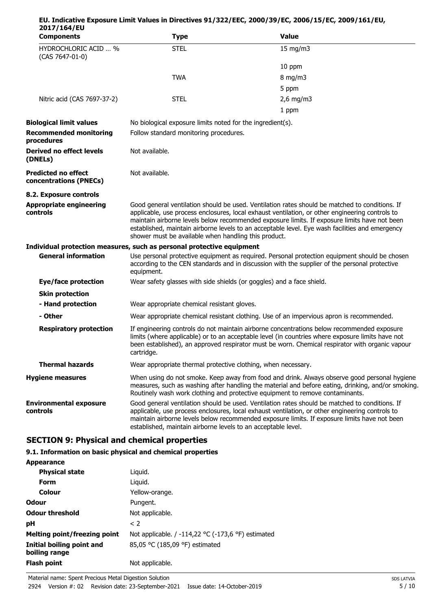| 2017/164/EU                                          |                                                                                                                                                                                                                                                                                                                 |                                                                                                                                                                                                                                                                                                                                                                                                      |  |
|------------------------------------------------------|-----------------------------------------------------------------------------------------------------------------------------------------------------------------------------------------------------------------------------------------------------------------------------------------------------------------|------------------------------------------------------------------------------------------------------------------------------------------------------------------------------------------------------------------------------------------------------------------------------------------------------------------------------------------------------------------------------------------------------|--|
| <b>Components</b>                                    | <b>Type</b>                                                                                                                                                                                                                                                                                                     | <b>Value</b>                                                                                                                                                                                                                                                                                                                                                                                         |  |
| HYDROCHLORIC ACID  %<br>(CAS 7647-01-0)              | <b>STEL</b>                                                                                                                                                                                                                                                                                                     | 15 mg/m3                                                                                                                                                                                                                                                                                                                                                                                             |  |
|                                                      |                                                                                                                                                                                                                                                                                                                 | 10 ppm                                                                                                                                                                                                                                                                                                                                                                                               |  |
|                                                      | <b>TWA</b>                                                                                                                                                                                                                                                                                                      | $8 \text{ mg/m}$                                                                                                                                                                                                                                                                                                                                                                                     |  |
|                                                      |                                                                                                                                                                                                                                                                                                                 | 5 ppm                                                                                                                                                                                                                                                                                                                                                                                                |  |
| Nitric acid (CAS 7697-37-2)                          | <b>STEL</b>                                                                                                                                                                                                                                                                                                     | $2,6$ mg/m3                                                                                                                                                                                                                                                                                                                                                                                          |  |
|                                                      |                                                                                                                                                                                                                                                                                                                 | 1 ppm                                                                                                                                                                                                                                                                                                                                                                                                |  |
| <b>Biological limit values</b>                       | No biological exposure limits noted for the ingredient(s).                                                                                                                                                                                                                                                      |                                                                                                                                                                                                                                                                                                                                                                                                      |  |
| <b>Recommended monitoring</b><br>procedures          | Follow standard monitoring procedures.                                                                                                                                                                                                                                                                          |                                                                                                                                                                                                                                                                                                                                                                                                      |  |
| Derived no effect levels<br>(DNELs)                  | Not available.                                                                                                                                                                                                                                                                                                  |                                                                                                                                                                                                                                                                                                                                                                                                      |  |
| <b>Predicted no effect</b><br>concentrations (PNECs) | Not available.                                                                                                                                                                                                                                                                                                  |                                                                                                                                                                                                                                                                                                                                                                                                      |  |
| 8.2. Exposure controls                               |                                                                                                                                                                                                                                                                                                                 |                                                                                                                                                                                                                                                                                                                                                                                                      |  |
| <b>Appropriate engineering</b><br>controls           | shower must be available when handling this product.                                                                                                                                                                                                                                                            | Good general ventilation should be used. Ventilation rates should be matched to conditions. If<br>applicable, use process enclosures, local exhaust ventilation, or other engineering controls to<br>maintain airborne levels below recommended exposure limits. If exposure limits have not been<br>established, maintain airborne levels to an acceptable level. Eye wash facilities and emergency |  |
|                                                      | Individual protection measures, such as personal protective equipment                                                                                                                                                                                                                                           |                                                                                                                                                                                                                                                                                                                                                                                                      |  |
| <b>General information</b>                           | Use personal protective equipment as required. Personal protection equipment should be chosen<br>according to the CEN standards and in discussion with the supplier of the personal protective<br>equipment.                                                                                                    |                                                                                                                                                                                                                                                                                                                                                                                                      |  |
| <b>Eye/face protection</b>                           | Wear safety glasses with side shields (or goggles) and a face shield.                                                                                                                                                                                                                                           |                                                                                                                                                                                                                                                                                                                                                                                                      |  |
| <b>Skin protection</b>                               |                                                                                                                                                                                                                                                                                                                 |                                                                                                                                                                                                                                                                                                                                                                                                      |  |
| - Hand protection                                    | Wear appropriate chemical resistant gloves.                                                                                                                                                                                                                                                                     |                                                                                                                                                                                                                                                                                                                                                                                                      |  |
| - Other                                              |                                                                                                                                                                                                                                                                                                                 | Wear appropriate chemical resistant clothing. Use of an impervious apron is recommended.                                                                                                                                                                                                                                                                                                             |  |
| <b>Respiratory protection</b>                        | If engineering controls do not maintain airborne concentrations below recommended exposure<br>limits (where applicable) or to an acceptable level (in countries where exposure limits have not<br>been established), an approved respirator must be worn. Chemical respirator with organic vapour<br>cartridge. |                                                                                                                                                                                                                                                                                                                                                                                                      |  |
| <b>Thermal hazards</b>                               | Wear appropriate thermal protective clothing, when necessary.                                                                                                                                                                                                                                                   |                                                                                                                                                                                                                                                                                                                                                                                                      |  |
| <b>Hygiene measures</b>                              |                                                                                                                                                                                                                                                                                                                 | When using do not smoke. Keep away from food and drink. Always observe good personal hygiene<br>measures, such as washing after handling the material and before eating, drinking, and/or smoking.<br>Routinely wash work clothing and protective equipment to remove contaminants.                                                                                                                  |  |
| <b>Environmental exposure</b><br>controls            | established, maintain airborne levels to an acceptable level.                                                                                                                                                                                                                                                   | Good general ventilation should be used. Ventilation rates should be matched to conditions. If<br>applicable, use process enclosures, local exhaust ventilation, or other engineering controls to<br>maintain airborne levels below recommended exposure limits. If exposure limits have not been                                                                                                    |  |

**EU. Indicative Exposure Limit Values in Directives 91/322/EEC, 2000/39/EC, 2006/15/EC, 2009/161/EU,**

# **SECTION 9: Physical and chemical properties**

### **9.1. Information on basic physical and chemical properties**

| <b>Appearance</b> |
|-------------------|
|-------------------|

| <b>Appearance</b>                          |                                                    |
|--------------------------------------------|----------------------------------------------------|
| <b>Physical state</b>                      | Liguid.                                            |
| Form                                       | Liguid.                                            |
| Colour                                     | Yellow-orange.                                     |
| <b>Odour</b>                               | Pungent.                                           |
| <b>Odour threshold</b>                     | Not applicable.                                    |
| рH                                         | $\langle$ 2                                        |
| Melting point/freezing point               | Not applicable. / -114,22 °C (-173,6 °F) estimated |
| Initial boiling point and<br>boiling range | 85,05 °C (185,09 °F) estimated                     |
| <b>Flash point</b>                         | Not applicable.                                    |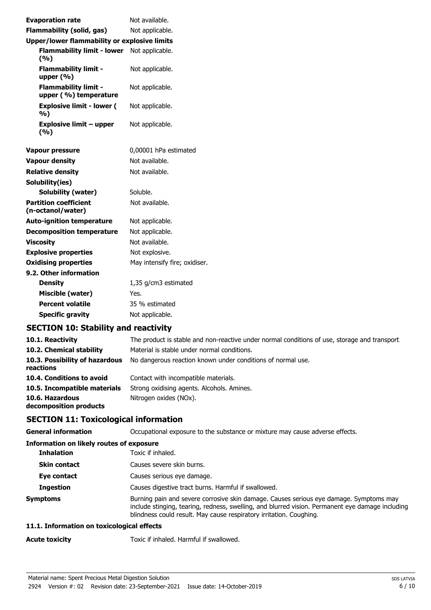| <b>Evaporation rate</b>                              | Not available.                |
|------------------------------------------------------|-------------------------------|
| <b>Flammability (solid, gas)</b>                     | Not applicable.               |
| <b>Upper/lower flammability or explosive limits</b>  |                               |
| Flammability limit - lower Not applicable.<br>(9/6)  |                               |
| <b>Flammability limit -</b><br>upper $(% )$          | Not applicable.               |
| <b>Flammability limit -</b><br>upper (%) temperature | Not applicable.               |
| <b>Explosive limit - lower (</b><br>%)               | Not applicable.               |
| <b>Explosive limit - upper</b><br>(%)                | Not applicable.               |
| <b>Vapour pressure</b>                               | 0,00001 hPa estimated         |
| <b>Vapour density</b>                                | Not available.                |
| <b>Relative density</b>                              | Not available.                |
| Solubility(ies)                                      |                               |
| Solubility (water)                                   | Soluble.                      |
| <b>Partition coefficient</b><br>(n-octanol/water)    | Not available.                |
| <b>Auto-ignition temperature</b>                     | Not applicable.               |
| <b>Decomposition temperature</b>                     | Not applicable.               |
| <b>Viscosity</b>                                     | Not available.                |
| <b>Explosive properties</b>                          | Not explosive.                |
| <b>Oxidising properties</b>                          | May intensify fire; oxidiser. |
| 9.2. Other information                               |                               |
| <b>Density</b>                                       | 1,35 g/cm3 estimated          |
| Miscible (water)                                     | Yes.                          |
| <b>Percent volatile</b>                              | 35 % estimated                |
| <b>Specific gravity</b>                              | Not applicable.               |

# **SECTION 10: Stability and reactivity**

| 10.1. Reactivity                            | The product is stable and non-reactive under normal conditions of use, storage and transport. |
|---------------------------------------------|-----------------------------------------------------------------------------------------------|
| 10.2. Chemical stability                    | Material is stable under normal conditions.                                                   |
| 10.3. Possibility of hazardous<br>reactions | No dangerous reaction known under conditions of normal use.                                   |
| 10.4. Conditions to avoid                   | Contact with incompatible materials.                                                          |
| 10.5. Incompatible materials                | Strong oxidising agents. Alcohols. Amines.                                                    |
| 10.6. Hazardous<br>decomposition products   | Nitrogen oxides (NOx).                                                                        |

# **SECTION 11: Toxicological information**

| Occupational exposure to the substance or mixture may cause adverse effects.                                                                                                                                                                                      |
|-------------------------------------------------------------------------------------------------------------------------------------------------------------------------------------------------------------------------------------------------------------------|
| <b>Information on likely routes of exposure</b>                                                                                                                                                                                                                   |
| Toxic if inhaled.                                                                                                                                                                                                                                                 |
| Causes severe skin burns.                                                                                                                                                                                                                                         |
| Causes serious eye damage.                                                                                                                                                                                                                                        |
| Causes digestive tract burns. Harmful if swallowed.                                                                                                                                                                                                               |
| Burning pain and severe corrosive skin damage. Causes serious eye damage. Symptoms may<br>include stinging, tearing, redness, swelling, and blurred vision. Permanent eye damage including<br>blindness could result. May cause respiratory irritation. Coughing. |
|                                                                                                                                                                                                                                                                   |

### **11.1. Information on toxicological effects**

Acute toxicity **Acute toxicity** Toxic if inhaled. Harmful if swallowed.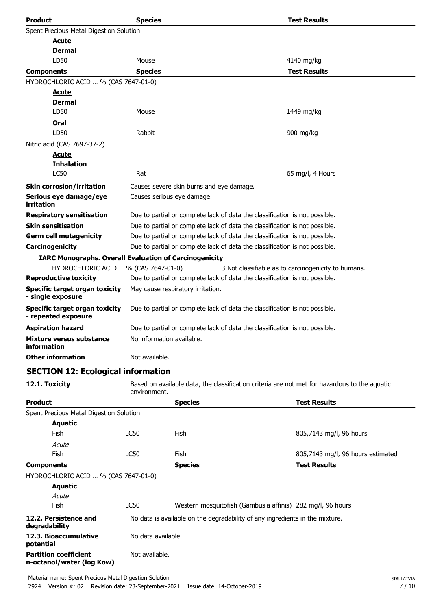| <b>Product</b>                                                | <b>Species</b>                                                              |                                                                                               | <b>Test Results</b>                                 |
|---------------------------------------------------------------|-----------------------------------------------------------------------------|-----------------------------------------------------------------------------------------------|-----------------------------------------------------|
| Spent Precious Metal Digestion Solution                       |                                                                             |                                                                                               |                                                     |
| <u>Acute</u>                                                  |                                                                             |                                                                                               |                                                     |
| <b>Dermal</b>                                                 |                                                                             |                                                                                               |                                                     |
| LD50                                                          | Mouse                                                                       |                                                                                               | 4140 mg/kg                                          |
| <b>Components</b>                                             | <b>Species</b>                                                              |                                                                                               | <b>Test Results</b>                                 |
| HYDROCHLORIC ACID  % (CAS 7647-01-0)                          |                                                                             |                                                                                               |                                                     |
| <u>Acute</u>                                                  |                                                                             |                                                                                               |                                                     |
| <b>Dermal</b>                                                 |                                                                             |                                                                                               |                                                     |
| LD50                                                          | Mouse                                                                       |                                                                                               | 1449 mg/kg                                          |
| Oral                                                          |                                                                             |                                                                                               |                                                     |
| LD50                                                          | Rabbit                                                                      |                                                                                               | 900 mg/kg                                           |
| Nitric acid (CAS 7697-37-2)                                   |                                                                             |                                                                                               |                                                     |
| <b>Acute</b>                                                  |                                                                             |                                                                                               |                                                     |
| <b>Inhalation</b><br><b>LC50</b>                              | Rat                                                                         |                                                                                               | 65 mg/l, 4 Hours                                    |
|                                                               |                                                                             |                                                                                               |                                                     |
| <b>Skin corrosion/irritation</b>                              |                                                                             | Causes severe skin burns and eye damage.                                                      |                                                     |
| Serious eye damage/eye<br>irritation                          |                                                                             | Causes serious eye damage.                                                                    |                                                     |
| <b>Respiratory sensitisation</b>                              |                                                                             | Due to partial or complete lack of data the classification is not possible.                   |                                                     |
| <b>Skin sensitisation</b>                                     |                                                                             | Due to partial or complete lack of data the classification is not possible.                   |                                                     |
| <b>Germ cell mutagenicity</b>                                 | Due to partial or complete lack of data the classification is not possible. |                                                                                               |                                                     |
| Carcinogenicity                                               |                                                                             | Due to partial or complete lack of data the classification is not possible.                   |                                                     |
| <b>IARC Monographs. Overall Evaluation of Carcinogenicity</b> |                                                                             |                                                                                               |                                                     |
| HYDROCHLORIC ACID  % (CAS 7647-01-0)                          |                                                                             |                                                                                               | 3 Not classifiable as to carcinogenicity to humans. |
| <b>Reproductive toxicity</b>                                  | Due to partial or complete lack of data the classification is not possible. |                                                                                               |                                                     |
| <b>Specific target organ toxicity</b><br>- single exposure    |                                                                             | May cause respiratory irritation.                                                             |                                                     |
| <b>Specific target organ toxicity</b><br>- repeated exposure  |                                                                             | Due to partial or complete lack of data the classification is not possible.                   |                                                     |
| <b>Aspiration hazard</b>                                      | Due to partial or complete lack of data the classification is not possible. |                                                                                               |                                                     |
| <b>Mixture versus substance</b><br>information                | No information available.                                                   |                                                                                               |                                                     |
| <b>Other information</b>                                      | Not available.                                                              |                                                                                               |                                                     |
| <b>SECTION 12: Ecological information</b>                     |                                                                             |                                                                                               |                                                     |
| 12.1. Toxicity                                                | environment.                                                                | Based on available data, the classification criteria are not met for hazardous to the aquatic |                                                     |
| <b>Product</b>                                                |                                                                             | <b>Species</b>                                                                                | <b>Test Results</b>                                 |
| Spent Precious Metal Digestion Solution                       |                                                                             |                                                                                               |                                                     |
| <b>Aquatic</b>                                                |                                                                             |                                                                                               |                                                     |
| Fish                                                          | LC50                                                                        | <b>Fish</b>                                                                                   | 805,7143 mg/l, 96 hours                             |
| Acute                                                         |                                                                             |                                                                                               |                                                     |
| Fish                                                          | LC50                                                                        | Fish                                                                                          | 805,7143 mg/l, 96 hours estimated                   |
| <b>Components</b>                                             |                                                                             | <b>Species</b>                                                                                | <b>Test Results</b>                                 |
| HYDROCHLORIC ACID  % (CAS 7647-01-0)                          |                                                                             |                                                                                               |                                                     |
| <b>Aquatic</b>                                                |                                                                             |                                                                                               |                                                     |
| Acute                                                         |                                                                             |                                                                                               |                                                     |
| Fish                                                          | <b>LC50</b>                                                                 | Western mosquitofish (Gambusia affinis) 282 mg/l, 96 hours                                    |                                                     |
| 12.2. Persistence and<br>degradability                        |                                                                             | No data is available on the degradability of any ingredients in the mixture.                  |                                                     |
| 12.3. Bioaccumulative<br>potential                            | No data available.                                                          |                                                                                               |                                                     |

Not available.

**Partition coefficient n-octanol/water (log Kow)**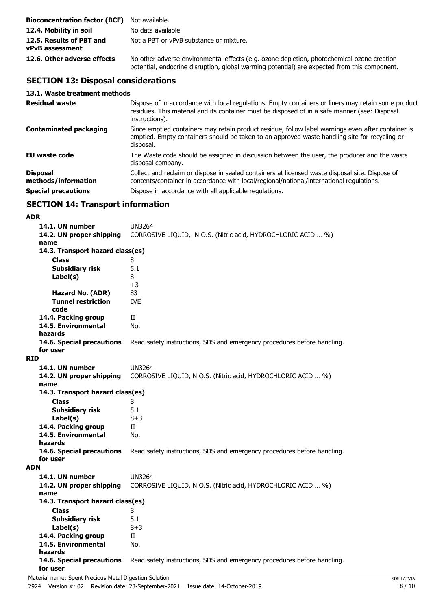| <b>Bioconcentration factor (BCF)</b> Not available. |                                                                                                                                                                                            |
|-----------------------------------------------------|--------------------------------------------------------------------------------------------------------------------------------------------------------------------------------------------|
| 12.4. Mobility in soil                              | No data available.                                                                                                                                                                         |
| 12.5. Results of PBT and<br><b>vPvB</b> assessment  | Not a PBT or vPvB substance or mixture.                                                                                                                                                    |
| 12.6. Other adverse effects                         | No other adverse environmental effects (e.g. ozone depletion, photochemical ozone creation<br>potential, endocrine disruption, global warming potential) are expected from this component. |

# **SECTION 13: Disposal considerations**

### **13.1. Waste treatment methods**

| <b>Residual waste</b>                  | Dispose of in accordance with local regulations. Empty containers or liners may retain some product<br>residues. This material and its container must be disposed of in a safe manner (see: Disposal<br>instructions). |
|----------------------------------------|------------------------------------------------------------------------------------------------------------------------------------------------------------------------------------------------------------------------|
| <b>Contaminated packaging</b>          | Since emptied containers may retain product residue, follow label warnings even after container is<br>emptied. Empty containers should be taken to an approved waste handling site for recycling or<br>disposal.       |
| <b>EU waste code</b>                   | The Waste code should be assigned in discussion between the user, the producer and the waste<br>disposal company.                                                                                                      |
| <b>Disposal</b><br>methods/information | Collect and reclaim or dispose in sealed containers at licensed waste disposal site. Dispose of<br>contents/container in accordance with local/regional/national/international regulations.                            |
| <b>Special precautions</b>             | Dispose in accordance with all applicable regulations.                                                                                                                                                                 |

# **SECTION 14: Transport information**

### **ADR**

|            | 14.1. UN number                  | <b>UN3264</b>                                                           |  |  |
|------------|----------------------------------|-------------------------------------------------------------------------|--|--|
|            | 14.2. UN proper shipping         | CORROSIVE LIQUID, N.O.S. (Nitric acid, HYDROCHLORIC ACID  %)            |  |  |
|            | name                             |                                                                         |  |  |
|            | 14.3. Transport hazard class(es) |                                                                         |  |  |
|            | <b>Class</b>                     | 8                                                                       |  |  |
|            | <b>Subsidiary risk</b>           | 5.1                                                                     |  |  |
|            | Label(s)                         | 8                                                                       |  |  |
|            |                                  | $+3$                                                                    |  |  |
|            | <b>Hazard No. (ADR)</b>          | 83                                                                      |  |  |
|            | <b>Tunnel restriction</b>        | D/E                                                                     |  |  |
|            | code                             |                                                                         |  |  |
|            | 14.4. Packing group              | П                                                                       |  |  |
|            | 14.5. Environmental<br>hazards   | No.                                                                     |  |  |
|            | 14.6. Special precautions        | Read safety instructions, SDS and emergency procedures before handling. |  |  |
|            | for user                         |                                                                         |  |  |
| <b>RID</b> |                                  |                                                                         |  |  |
|            | 14.1. UN number                  | <b>UN3264</b>                                                           |  |  |
|            | 14.2. UN proper shipping         | CORROSIVE LIQUID, N.O.S. (Nitric acid, HYDROCHLORIC ACID  %)            |  |  |
|            | name                             |                                                                         |  |  |
|            |                                  | 14.3. Transport hazard class(es)                                        |  |  |
|            | <b>Class</b>                     | 8                                                                       |  |  |
|            | <b>Subsidiary risk</b>           | 5.1                                                                     |  |  |
|            | Label(s)                         | $8 + 3$                                                                 |  |  |
|            | 14.4. Packing group              | Π                                                                       |  |  |
|            | 14.5. Environmental              | No.                                                                     |  |  |
|            | hazards                          |                                                                         |  |  |
|            | 14.6. Special precautions        | Read safety instructions, SDS and emergency procedures before handling. |  |  |
|            | for user                         |                                                                         |  |  |
| <b>ADN</b> |                                  |                                                                         |  |  |
|            | 14.1. UN number                  | <b>UN3264</b>                                                           |  |  |
|            | 14.2. UN proper shipping         | CORROSIVE LIQUID, N.O.S. (Nitric acid, HYDROCHLORIC ACID  %)            |  |  |
|            | name                             |                                                                         |  |  |
|            | 14.3. Transport hazard class(es) |                                                                         |  |  |
|            | <b>Class</b>                     | 8<br>5.1                                                                |  |  |
|            | <b>Subsidiary risk</b>           | $8 + 3$                                                                 |  |  |
|            | Label(s)<br>14.4. Packing group  | Π                                                                       |  |  |
|            | 14.5. Environmental              | No.                                                                     |  |  |
|            | hazards                          |                                                                         |  |  |
|            | 14.6. Special precautions        | Read safety instructions, SDS and emergency procedures before handling. |  |  |
|            | for user                         |                                                                         |  |  |
|            |                                  |                                                                         |  |  |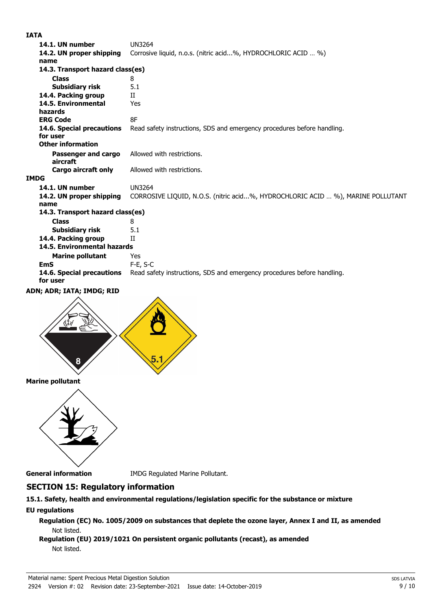### **IATA**

| 14.1. UN number                       | <b>UN3264</b>                                                                   |  |  |
|---------------------------------------|---------------------------------------------------------------------------------|--|--|
| 14.2. UN proper shipping              | Corrosive liquid, n.o.s. (nitric acid%, HYDROCHLORIC ACID  %)                   |  |  |
| name                                  |                                                                                 |  |  |
|                                       | 14.3. Transport hazard class(es)                                                |  |  |
| <b>Class</b>                          | 8                                                                               |  |  |
| <b>Subsidiary risk</b>                | 5.1                                                                             |  |  |
| 14.4. Packing group                   | $_{\rm II}$                                                                     |  |  |
| 14.5. Environmental                   | Yes                                                                             |  |  |
| hazards                               |                                                                                 |  |  |
| <b>ERG Code</b>                       | 8F                                                                              |  |  |
| 14.6. Special precautions             | Read safety instructions, SDS and emergency procedures before handling.         |  |  |
| for user                              |                                                                                 |  |  |
| <b>Other information</b>              |                                                                                 |  |  |
| Passenger and cargo                   | Allowed with restrictions.                                                      |  |  |
| aircraft                              |                                                                                 |  |  |
| <b>Cargo aircraft only</b>            | Allowed with restrictions.                                                      |  |  |
| <b>IMDG</b>                           |                                                                                 |  |  |
| 14.1. UN number                       | <b>UN3264</b>                                                                   |  |  |
| 14.2. UN proper shipping              | CORROSIVE LIQUID, N.O.S. (nitric acid%, HYDROCHLORIC ACID  %), MARINE POLLUTANT |  |  |
| name                                  |                                                                                 |  |  |
| 14.3. Transport hazard class(es)      |                                                                                 |  |  |
| <b>Class</b>                          | 8                                                                               |  |  |
| <b>Subsidiary risk</b>                | 5.1                                                                             |  |  |
| 14.4. Packing group                   | Π                                                                               |  |  |
| 14.5. Environmental hazards           |                                                                                 |  |  |
| <b>Marine pollutant</b>               | Yes                                                                             |  |  |
| <b>EmS</b>                            | $F-E, S-C$                                                                      |  |  |
| 14.6. Special precautions<br>for user | Read safety instructions, SDS and emergency procedures before handling.         |  |  |
| ADN; ADR; IATA; IMDG; RID             |                                                                                 |  |  |
|                                       |                                                                                 |  |  |
|                                       |                                                                                 |  |  |



**Marine pollutant**



**General information** IMDG Regulated Marine Pollutant.

## **SECTION 15: Regulatory information**

### **15.1. Safety, health and environmental regulations/legislation specific for the substance or mixture EU regulations**

**Regulation (EC) No. 1005/2009 on substances that deplete the ozone layer, Annex I and II, as amended** Not listed.

### **Regulation (EU) 2019/1021 On persistent organic pollutants (recast), as amended** Not listed.